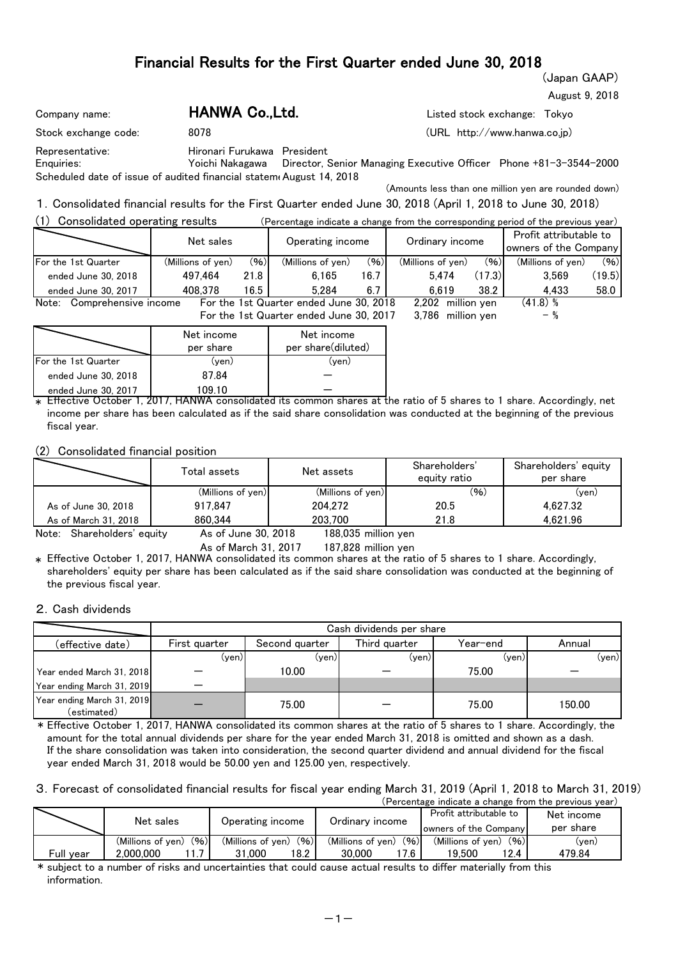(Japan GAAP)

August 9, 2018

| Company name:                                                       | HANWA Co., Ltd.             |                                                                                   | Listed stock exchange: Tokyo |  |
|---------------------------------------------------------------------|-----------------------------|-----------------------------------------------------------------------------------|------------------------------|--|
| Stock exchange code:                                                | 8078                        |                                                                                   | (URL http://www.hanwa.co.jp) |  |
| Representative:                                                     | Hironari Furukawa President |                                                                                   |                              |  |
| Enguiries:                                                          |                             | Yoichi Nakagawa Director, Senior Managing Executive Officer Phone +81-3-3544-2000 |                              |  |
| Scheduled date of issue of audited financial statem August 14, 2018 |                             |                                                                                   |                              |  |

(Amounts less than one million yen are rounded down)

1.Consolidated financial results for the First Quarter ended June 30, 2018 (April 1, 2018 to June 30, 2018)  $(1)$  Consolidated operating results  $(2)$ 

| Ð<br>Consolidated operating results<br>(Percentage indicate a change from the corresponding period of the previous vear) |                   |      |                                         |      |                   |        |                                                 |        |  |  |
|--------------------------------------------------------------------------------------------------------------------------|-------------------|------|-----------------------------------------|------|-------------------|--------|-------------------------------------------------|--------|--|--|
|                                                                                                                          | Net sales         |      | Operating income                        |      | Ordinary income   |        | Profit attributable to<br>owners of the Company |        |  |  |
| <b>For the 1st Quarter</b>                                                                                               | (Millions of yen) | (96) | (Millions of ven)                       | (96) | (Millions of yen) | (96)   | (Millions of yen)                               | (96)   |  |  |
| ended June 30, 2018                                                                                                      | 497.464           | 21.8 | 6.165                                   | 16.7 | 5.474             | (17.3) | 3.569                                           | (19.5) |  |  |
| ended June 30, 2017                                                                                                      | 408.378           | 16.5 | 5.284                                   | 6.7  | 6.619             | 38.2   | 4.433                                           | 58.0   |  |  |
| Comprehensive income<br>Note:                                                                                            |                   |      | For the 1st Quarter ended June 30, 2018 |      | 2.202 million ven |        | (41.8)%                                         |        |  |  |
|                                                                                                                          |                   |      | For the 1st Quarter ended June 30, 2017 |      | 3.786 million ven |        |                                                 |        |  |  |

|                            | Net income<br>per share | Net income<br>per share(diluted) |
|----------------------------|-------------------------|----------------------------------|
| <b>For the 1st Quarter</b> | (ven)                   | (ven)                            |
| ended June 30, 2018        | 87.84                   |                                  |
| ended June 30, 2017        | 109 10                  |                                  |

 $\ast$  Effective October 1, 2017, HANWA consolidated its common shares at the ratio of 5 shares to 1 share. Accordingly, net income per share has been calculated as if the said share consolidation was conducted at the beginning of the previous fiscal year.

(2) Consolidated financial position

|                      | Total assets         | Net assets               | Shareholders'<br>equity ratio | Shareholders' equity<br>per share |
|----------------------|----------------------|--------------------------|-------------------------------|-----------------------------------|
|                      | (Millions of yen)    | (Millions of yen)        | (96)                          | (ven)                             |
| As of June 30, 2018  | 917.847              | 204.272                  | 20.5                          | 4.627.32                          |
| As of March 31, 2018 | 860.344              | 203.700                  | 21.8                          | 4.621.96                          |
|                      | $\sim$ $\sim$ $\sim$ | $\cdots$<br><br>$\cdots$ |                               |                                   |

Note: Shareholders' equity As of June 30, 2018

As of March 31, 2017 187,828 million yen 188,035

 $\ast$  Effective October 1, 2017, HANWA consolidated its common shares at the ratio of 5 shares to 1 share. Accordingly, shareholders' equity per share has been calculated as if the said share consolidation was conducted at the beginning of the previous fiscal year.

### 2.Cash dividends

|                                           |               |                | Cash dividends per share |          |        |
|-------------------------------------------|---------------|----------------|--------------------------|----------|--------|
| (effective date)                          | First quarter | Second quarter | Third quarter            | Year–end | Annual |
|                                           | (ven)l        | (ven)          | (ven)                    | (ven)    | (yen)  |
| Year ended March 31, 2018                 |               | 10.00          |                          | 75.00    |        |
| Year ending March 31, 2019                |               |                |                          |          |        |
| Year ending March 31, 2019<br>(estimated) |               | 75.00          |                          | 75.00    | 150.00 |

\* Effective October 1, 2017, HANWA consolidated its common shares at the ratio of 5 shares to 1 share. Accordingly, the amount for the total annual dividends per share for the year ended March 31, 2018 is omitted and shown as a dash. If the share consolidation was taken into consideration, the second quarter dividend and annual dividend for the fiscal year ended March 31, 2018 would be 50.00 yen and 125.00 yen, respectively.

3.Forecast of consolidated financial results for fiscal year ending March 31, 2019 (April 1, 2018 to March 31, 2019)

|           |                           |                           |                           | (Percentage indicate a change from the previous year) |            |
|-----------|---------------------------|---------------------------|---------------------------|-------------------------------------------------------|------------|
|           | Net sales                 | Operating income          | Ordinary income           | Profit attributable to                                | Net income |
|           |                           |                           |                           | owners of the Company                                 | per share  |
|           | (96)<br>(Millions of yen) | (96)<br>(Millions of ven) | (96)<br>(Millions of ven) | (96)<br>(Millions of yen)                             | (ven)      |
| Full vear | 2.000.000                 | 18.2<br>31.000            | l 7.6 I<br>30.000         | 19.500<br>12.4                                        | 479.84     |

\* subject to a number of risks and uncertainties that could cause actual results to differ materially from this information.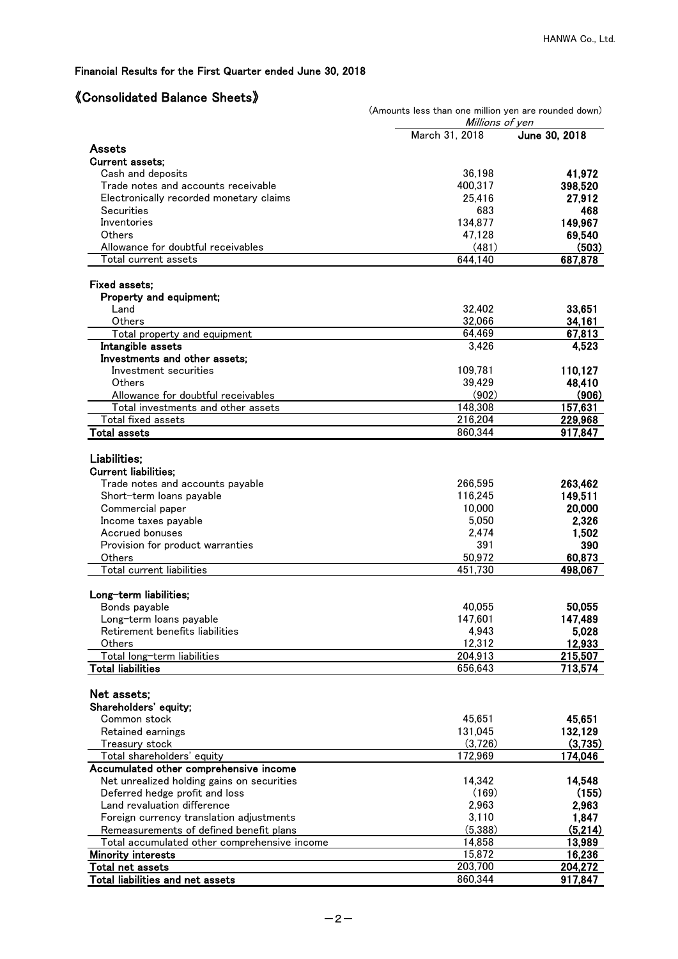### 《Consolidated Balance Sheets》

|                                                            | (Amounts less than one million yen are rounded down)<br>Millions of yen |                    |
|------------------------------------------------------------|-------------------------------------------------------------------------|--------------------|
|                                                            | March 31, 2018                                                          | June 30, 2018      |
| Assets                                                     |                                                                         |                    |
| <b>Current assets:</b>                                     |                                                                         |                    |
| Cash and deposits                                          | 36,198                                                                  | 41,972             |
| Trade notes and accounts receivable                        | 400,317                                                                 | 398,520            |
| Electronically recorded monetary claims                    | 25,416                                                                  | 27,912             |
| Securities                                                 | 683                                                                     | 468                |
| Inventories                                                | 134,877                                                                 | 149,967            |
| Others<br>Allowance for doubtful receivables               | 47,128                                                                  | 69,540             |
| Total current assets                                       | (481)<br>644,140                                                        | (503)<br>687,878   |
|                                                            |                                                                         |                    |
| <b>Fixed assets:</b>                                       |                                                                         |                    |
| Property and equipment;                                    |                                                                         |                    |
| Land                                                       | 32,402                                                                  | 33,651             |
| Others                                                     | 32,066                                                                  | 34,161             |
| Total property and equipment                               | 64,469                                                                  | 67,813             |
| Intangible assets                                          | 3,426                                                                   | 4,523              |
| Investments and other assets;                              |                                                                         |                    |
| Investment securities                                      | 109,781                                                                 | 110,127            |
| Others                                                     | 39,429                                                                  | 48,410             |
| Allowance for doubtful receivables                         | (902)                                                                   | (906)              |
| Total investments and other assets                         | 148,308<br>216,204                                                      | 157,631<br>229,968 |
| Total fixed assets<br><b>Total assets</b>                  | 860,344                                                                 | 917,847            |
|                                                            |                                                                         |                    |
| Liabilities;                                               |                                                                         |                    |
| <b>Current liabilities;</b>                                |                                                                         |                    |
| Trade notes and accounts payable                           | 266,595                                                                 | 263,462            |
| Short-term loans payable                                   | 116,245                                                                 | 149,511            |
| Commercial paper                                           | 10,000                                                                  | 20,000             |
| Income taxes payable                                       | 5,050                                                                   | 2,326              |
| Accrued bonuses                                            | 2,474                                                                   | 1,502              |
| Provision for product warranties                           | 391                                                                     | 390                |
| Others                                                     | 50,972                                                                  | 60,873             |
| Total current liabilities                                  | 451.730                                                                 | 498,067            |
|                                                            |                                                                         |                    |
| Long-term liabilities;                                     |                                                                         |                    |
| Bonds payable                                              | 40,055<br>147,601                                                       | 50,055<br>147,489  |
| Long-term loans payable<br>Retirement benefits liabilities | 4,943                                                                   | 5,028              |
| Others                                                     | 12,312                                                                  | 12,933             |
| Total long-term liabilities                                | 204,913                                                                 | 215,507            |
| <b>Total liabilities</b>                                   | 656,643                                                                 | 713,574            |
|                                                            |                                                                         |                    |
| Net assets:                                                |                                                                         |                    |
| Shareholders' equity;                                      |                                                                         |                    |
| Common stock                                               | 45,651                                                                  | 45,651             |
| Retained earnings                                          | 131,045                                                                 | 132,129            |
| Treasury stock                                             | (3,726)                                                                 | (3,735)            |
| Total shareholders' equity                                 | 172,969                                                                 | 174,046            |
| Accumulated other comprehensive income                     |                                                                         |                    |
| Net unrealized holding gains on securities                 | 14,342                                                                  | 14,548             |
| Deferred hedge profit and loss                             | (169)                                                                   | (155)              |
| Land revaluation difference                                | 2,963                                                                   | 2,963              |
| Foreign currency translation adjustments                   | 3,110                                                                   | 1,847              |
| Remeasurements of defined benefit plans                    | (5,388)                                                                 | (5,214)            |
| Total accumulated other comprehensive income               | 14,858                                                                  | 13,989             |
| <b>Minority interests</b>                                  | 15,872                                                                  | 16,236<br>204,272  |
| Total net assets<br>Total liabilities and net assets       | 203,700<br>860,344                                                      | 917,847            |
|                                                            |                                                                         |                    |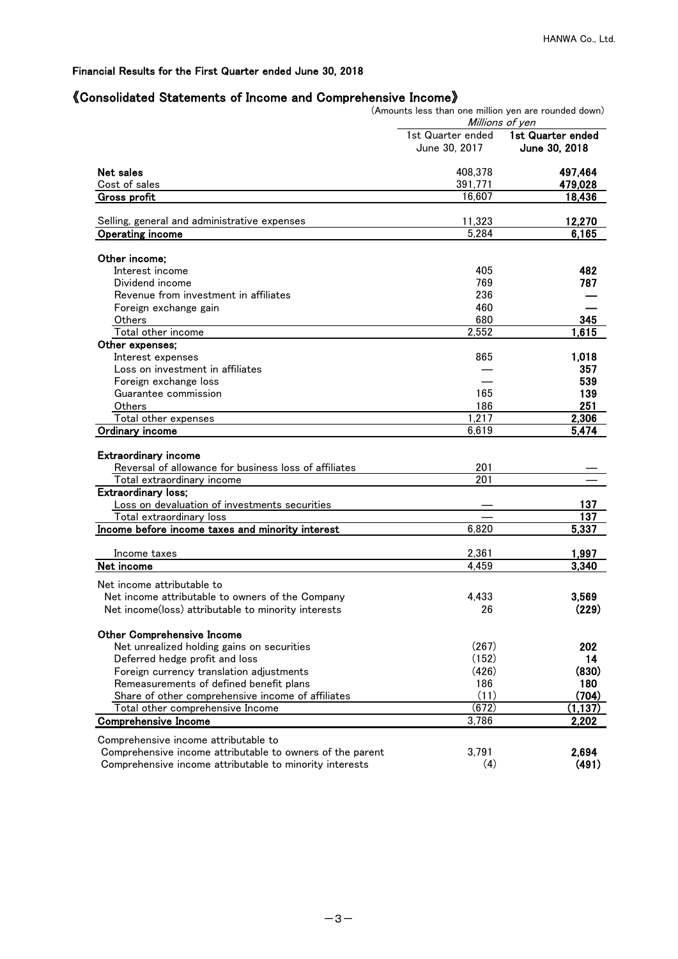### 《Consolidated Statements of Income and Comprehensive Income》

|                                                           | (Amounts less than one million yen are rounded down)<br>Millions of yen |                                    |  |  |  |
|-----------------------------------------------------------|-------------------------------------------------------------------------|------------------------------------|--|--|--|
|                                                           | 1st Quarter ended<br>June 30, 2017                                      | 1st Quarter ended<br>June 30, 2018 |  |  |  |
| Net sales                                                 | 408,378                                                                 | 497,464                            |  |  |  |
| Cost of sales                                             | 391,771                                                                 | 479,028                            |  |  |  |
| Gross profit                                              | 16,607                                                                  | 18,436                             |  |  |  |
| Selling, general and administrative expenses              | 11,323                                                                  | 12,270                             |  |  |  |
| <b>Operating income</b>                                   | $\overline{5,284}$                                                      | 6,165                              |  |  |  |
| Other income;                                             |                                                                         |                                    |  |  |  |
| Interest income                                           | 405                                                                     | 482                                |  |  |  |
| Dividend income                                           | 769                                                                     | 787                                |  |  |  |
| Revenue from investment in affiliates                     | 236                                                                     |                                    |  |  |  |
| Foreign exchange gain                                     | 460                                                                     |                                    |  |  |  |
| Others                                                    | 680                                                                     | 345                                |  |  |  |
| Total other income                                        | 2,552                                                                   | 1,615                              |  |  |  |
|                                                           |                                                                         |                                    |  |  |  |
| Other expenses;                                           |                                                                         |                                    |  |  |  |
| Interest expenses                                         | 865                                                                     | 1.018                              |  |  |  |
| Loss on investment in affiliates                          |                                                                         | 357                                |  |  |  |
| Foreign exchange loss                                     |                                                                         | 539                                |  |  |  |
| Guarantee commission                                      | 165                                                                     | 139                                |  |  |  |
| Others                                                    | 186                                                                     | 251                                |  |  |  |
| Total other expenses                                      | 1,217                                                                   | 2,306                              |  |  |  |
| Ordinary income                                           | 6,619                                                                   | 5,474                              |  |  |  |
|                                                           |                                                                         |                                    |  |  |  |
| <b>Extraordinary income</b>                               | 201                                                                     |                                    |  |  |  |
| Reversal of allowance for business loss of affiliates     | 201                                                                     |                                    |  |  |  |
| Total extraordinary income                                |                                                                         |                                    |  |  |  |
| <b>Extraordinary loss;</b>                                |                                                                         |                                    |  |  |  |
| Loss on devaluation of investments securities             |                                                                         | 137                                |  |  |  |
| Total extraordinary loss                                  |                                                                         | 137                                |  |  |  |
| Income before income taxes and minority interest          | 6,820                                                                   | 5,337                              |  |  |  |
| Income taxes                                              | 2,361                                                                   | 1,997                              |  |  |  |
| Net income                                                | 4,459                                                                   | 3,340                              |  |  |  |
|                                                           |                                                                         |                                    |  |  |  |
| Net income attributable to                                |                                                                         |                                    |  |  |  |
| Net income attributable to owners of the Company          | 4,433                                                                   | 3,569                              |  |  |  |
| Net income(loss) attributable to minority interests       | 26                                                                      | (229)                              |  |  |  |
| <b>Other Comprehensive Income</b>                         |                                                                         |                                    |  |  |  |
| Net unrealized holding gains on securities                | (267)                                                                   | 202                                |  |  |  |
| Deferred hedge profit and loss                            | (152)                                                                   | 14                                 |  |  |  |
| Foreign currency translation adjustments                  | (426)                                                                   | (830)                              |  |  |  |
| Remeasurements of defined benefit plans                   | 186                                                                     | 180                                |  |  |  |
| Share of other comprehensive income of affiliates         | (11)                                                                    | (704)                              |  |  |  |
| Total other comprehensive Income                          | (672)                                                                   | (1, 137)                           |  |  |  |
| <b>Comprehensive Income</b>                               | 3,786                                                                   | 2,202                              |  |  |  |
|                                                           |                                                                         |                                    |  |  |  |
| Comprehensive income attributable to                      |                                                                         |                                    |  |  |  |
| Comprehensive income attributable to owners of the parent | 3,791                                                                   | 2.694                              |  |  |  |
| Comprehensive income attributable to minority interests   | (4)                                                                     | (491)                              |  |  |  |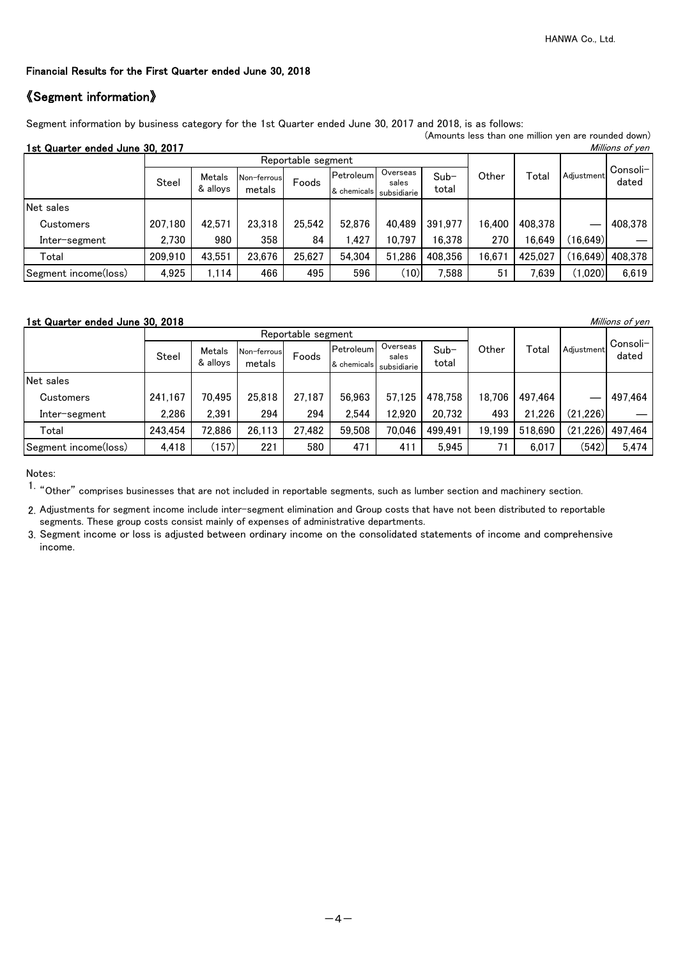### 《Segment information》

Segment information by business category for the 1st Quarter ended June 30, 2017 and 2018, is as follows: (Amounts less than one million yen are rounded down)

1st Quarter ended June 30, 2017 Millions of yen Metals Non-ferrous Foods Petroleum & alloys | metals |  $\frac{1000}{8}$  chemicals Net sales Customers 207,180 42,571 23,318 25,542 52,876 40,489 391,977 16,400 408,378 ― 408,378 Inter-segment | 2,730 | 980 | 358 | 84 | 1,427 | 10,797 | 16,378 | 270 | 16,649 | (16,649) Total 209,910 43,551 23,676 25,627 54,304 51,286 408,356 16,671 425,027 (16,649) 408,378 Segment income(loss) | 4,925 | 1,114 | 466 | 495 | 596 | (10) 7,588 | 51 | 7,639 | (1,020) 6,619 Consoli-Steel Metals Non-ferrous Foods Petroleum <sup>Overseas</sup> Sub- Other Total Adjustment Overson total Reportable segment Other Total Overseas Sub- Other Total Adjustment sales subsidiarie

### 1st Quarter ended June 30, 2018

|                      |         |                    |                       | Reportable segment |                          |                                  |                 |        |         |            |                   |
|----------------------|---------|--------------------|-----------------------|--------------------|--------------------------|----------------------------------|-----------------|--------|---------|------------|-------------------|
|                      | Steel   | Metals<br>& allovs | Non-ferrous<br>metals | Foods              | Petroleum<br>& chemicals | Overseas<br>sales<br>subsidiarie | $Sub-$<br>total | Other  | Total   | Adiustment | Consoli-<br>dated |
| Net sales            |         |                    |                       |                    |                          |                                  |                 |        |         |            |                   |
| <b>Customers</b>     | 241,167 | 70,495             | 25,818                | 27,187             | 56,963                   | 57.125                           | 478,758         | 18,706 | 497.464 |            | 497.464           |
| Inter-segment        | 2.286   | 2.391              | 294                   | 294                | 2.544                    | 12.920                           | 20,732          | 493    | 21,226  | (21, 226)  |                   |
| Total                | 243,454 | 72,886             | 26.113                | 27,482             | 59,508                   | 70,046                           | 499,491         | 19,199 | 518,690 | (21, 226)  | 497,464           |
| Segment income(loss) | 4,418   | (157)              | 221                   | 580                | 471                      | 411                              | 5.945           |        | 6,017   | (542)      | 5.474             |

Notes:

1. "Other" comprises businesses that are not included in reportable segments, such as lumber section and machinery section.

2. Adjustments for segment income include inter-segment elimination and Group costs that have not been distributed to reportable segments. These group costs consist mainly of expenses of administrative departments.

3. Segment income or loss is adjusted between ordinary income on the consolidated statements of income and comprehensive income.